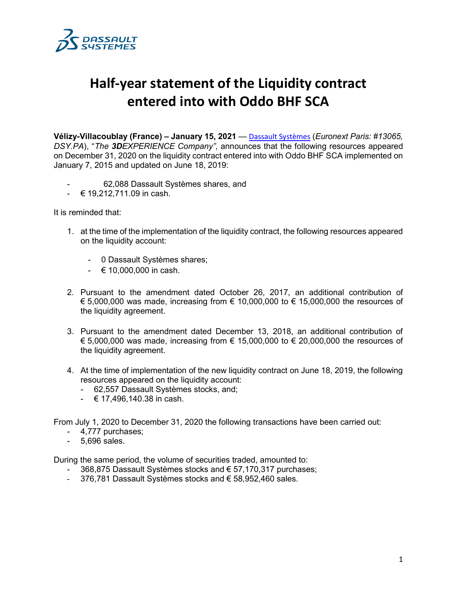

## **Half-year statement of the Liquidity contract entered into with Oddo BHF SCA**

**Vélizy-Villacoublay (France) – January 15, 2021** — [Dassault Systèmes](http://www.3ds.com/) (*Euronext Paris: #13065, DSY.PA*), "*The 3DEXPERIENCE Company"*, announces that the following resources appeared on December 31, 2020 on the liquidity contract entered into with Oddo BHF SCA implemented on January 7, 2015 and updated on June 18, 2019:

- 62,088 Dassault Systèmes shares, and
- $-$  € 19,212,711.09 in cash.

It is reminded that:

- 1. at the time of the implementation of the liquidity contract, the following resources appeared on the liquidity account:
	- 0 Dassault Systèmes shares;
	- $\in$  10,000,000 in cash.
- 2. Pursuant to the amendment dated October 26, 2017, an additional contribution of  $€ 5,000,000$  was made, increasing from  $€ 10,000,000$  to  $€ 15,000,000$  the resources of the liquidity agreement.
- 3. Pursuant to the amendment dated December 13, 2018, an additional contribution of  $€ 5,000,000$  was made, increasing from  $€ 15,000,000$  to  $€ 20,000,000$  the resources of the liquidity agreement.
- 4. At the time of implementation of the new liquidity contract on June 18, 2019, the following resources appeared on the liquidity account:
	- 62,557 Dassault Systèmes stocks, and;
	- $\div$  € 17,496,140.38 in cash.

From July 1, 2020 to December 31, 2020 the following transactions have been carried out:

- 4,777 purchases;
- 5,696 sales.

During the same period, the volume of securities traded, amounted to:

- 368,875 Dassault Systèmes stocks and € 57,170,317 purchases;
- 376,781 Dassault Systèmes stocks and € 58,952,460 sales.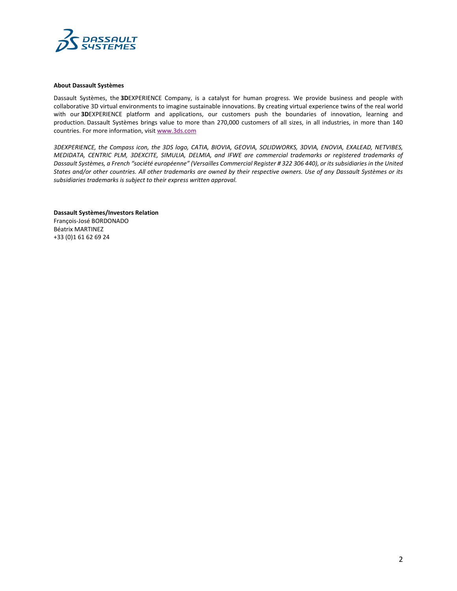

## **About Dassault Systèmes**

Dassault Systèmes, the **3D**EXPERIENCE Company, is a catalyst for human progress. We provide business and people with collaborative 3D virtual environments to imagine sustainable innovations. By creating virtual experience twins of the real world with our **3D**EXPERIENCE platform and applications, our customers push the boundaries of innovation, learning and production. Dassault Systèmes brings value to more than 270,000 customers of all sizes, in all industries, in more than 140 countries. For more information, visit [www.3ds.com](http://www.3ds.com/)

*3DEXPERIENCE, the Compass icon, the 3DS logo, CATIA, BIOVIA, GEOVIA, SOLIDWORKS, 3DVIA, ENOVIA, EXALEAD, NETVIBES, MEDIDATA, CENTRIC PLM, 3DEXCITE, SIMULIA, DELMIA, and IFWE are commercial trademarks or registered trademarks of Dassault Systèmes, a French "société européenne" (Versailles Commercial Register # 322 306 440), or its subsidiaries in the United States and/or other countries. All other trademarks are owned by their respective owners. Use of any Dassault Systèmes or its subsidiaries trademarks is subject to their express written approval.*

**Dassault Systèmes/Investors Relation** François-José BORDONADO Béatrix MARTINEZ +33 (0)1 61 62 69 24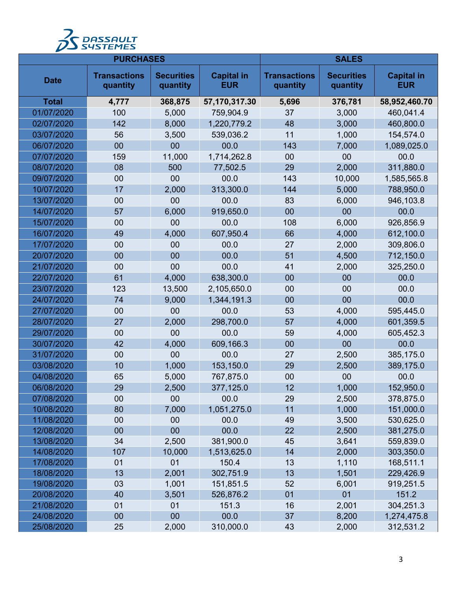

| <b>PURCHASES</b> |                                 |                               | <b>SALES</b>                    |                                 |                               |                                 |
|------------------|---------------------------------|-------------------------------|---------------------------------|---------------------------------|-------------------------------|---------------------------------|
| <b>Date</b>      | <b>Transactions</b><br>quantity | <b>Securities</b><br>quantity | <b>Capital in</b><br><b>EUR</b> | <b>Transactions</b><br>quantity | <b>Securities</b><br>quantity | <b>Capital in</b><br><b>EUR</b> |
| <b>Total</b>     | 4,777                           | 368,875                       | 57,170,317.30                   | 5,696                           | 376,781                       | 58,952,460.70                   |
| 01/07/2020       | 100                             | 5,000                         | 759,904.9                       | 37                              | 3,000                         | 460,041.4                       |
| 02/07/2020       | 142                             | 8,000                         | 1,220,779.2                     | 48                              | 3,000                         | 460,800.0                       |
| 03/07/2020       | 56                              | 3,500                         | 539,036.2                       | 11                              | 1,000                         | 154,574.0                       |
| 06/07/2020       | 00                              | 00                            | 00.0                            | 143                             | 7,000                         | 1,089,025.0                     |
| 07/07/2020       | 159                             | 11,000                        | 1,714,262.8                     | 00                              | 00                            | 00.0                            |
| 08/07/2020       | 08                              | 500                           | 77,502.5                        | 29                              | 2,000                         | 311,880.0                       |
| 09/07/2020       | 00                              | 00                            | 00.0                            | 143                             | 10,000                        | 1,585,565.8                     |
| 10/07/2020       | 17                              | 2,000                         | 313,300.0                       | 144                             | 5,000                         | 788,950.0                       |
| 13/07/2020       | 00                              | 00                            | 00.0                            | 83                              | 6,000                         | 946,103.8                       |
| 14/07/2020       | 57                              | 6,000                         | 919,650.0                       | 00                              | 00                            | 00.0                            |
| 15/07/2020       | 00                              | 00                            | 00.0                            | 108                             | 6,000                         | 926,856.9                       |
| 16/07/2020       | 49                              | 4,000                         | 607,950.4                       | 66                              | 4,000                         | 612,100.0                       |
| 17/07/2020       | 00                              | 00                            | 00.0                            | 27                              | 2,000                         | 309,806.0                       |
| 20/07/2020       | 00                              | 00                            | 00.0                            | 51                              | 4,500                         | 712,150.0                       |
| 21/07/2020       | 00                              | 00                            | 00.0                            | 41                              | 2,000                         | 325,250.0                       |
| 22/07/2020       | 61                              | 4,000                         | 638,300.0                       | 00                              | 00                            | 00.0                            |
| 23/07/2020       | 123                             | 13,500                        | 2,105,650.0                     | 00                              | 00                            | 00.0                            |
| 24/07/2020       | 74                              | 9,000                         | 1,344,191.3                     | 00                              | 00                            | 00.0                            |
| 27/07/2020       | 00                              | 00                            | 00.0                            | 53                              | 4,000                         | 595,445.0                       |
| 28/07/2020       | 27                              | 2,000                         | 298,700.0                       | 57                              | 4,000                         | 601,359.5                       |
| 29/07/2020       | 00                              | 00                            | 00.0                            | 59                              | 4,000                         | 605,452.3                       |
| 30/07/2020       | 42                              | 4,000                         | 609,166.3                       | 00                              | 00                            | 00.0                            |
| 31/07/2020       | 00                              | 00                            | 00.0                            | 27                              | 2,500                         | 385,175.0                       |
| 03/08/2020       | 10                              | 1,000                         | 153,150.0                       | 29                              | 2,500                         | 389,175.0                       |
| 04/08/2020       | 65                              | 5,000                         | 767,875.0                       | 00                              | 00                            | 00.0                            |
| 06/08/2020       | 29                              | 2,500                         | 377,125.0                       | 12                              | 1,000                         | 152,950.0                       |
| 07/08/2020       | 00                              | 00                            | 00.0                            | 29                              | 2,500                         | 378,875.0                       |
| 10/08/2020       | 80                              | 7,000                         | 1,051,275.0                     | 11                              | 1,000                         | 151,000.0                       |
| 11/08/2020       | 00                              | 00                            | 00.0                            | 49                              | 3,500                         | 530,625.0                       |
| 12/08/2020       | 00                              | 00                            | 00.0                            | 22                              | 2,500                         | 381,275.0                       |
| 13/08/2020       | 34                              | 2,500                         | 381,900.0                       | 45                              | 3,641                         | 559,839.0                       |
| 14/08/2020       | 107                             | 10,000                        | 1,513,625.0                     | 14                              | 2,000                         | 303,350.0                       |
| 17/08/2020       | 01                              | 01                            | 150.4                           | 13                              | 1,110                         | 168,511.1                       |
| 18/08/2020       | 13                              | 2,001                         | 302,751.9                       | 13                              | 1,501                         | 229,426.9                       |
| 19/08/2020       | 03                              | 1,001                         | 151,851.5                       | 52                              | 6,001                         | 919,251.5                       |
| 20/08/2020       | 40                              | 3,501                         | 526,876.2                       | 01                              | 01                            | 151.2                           |
| 21/08/2020       | 01                              | 01                            | 151.3                           | 16                              | 2,001                         | 304,251.3                       |
| 24/08/2020       | 00                              | 00                            | 00.0                            | 37                              | 8,200                         | 1,274,475.8                     |
| 25/08/2020       | 25                              | 2,000                         | 310,000.0                       | 43                              | 2,000                         | 312,531.2                       |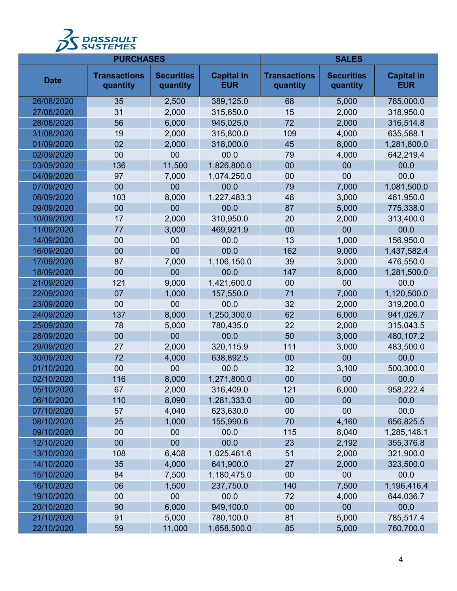

| <b>PURCHASES</b> |                                 |                               | <b>SALES</b>                    |                                 |                               |                                 |
|------------------|---------------------------------|-------------------------------|---------------------------------|---------------------------------|-------------------------------|---------------------------------|
| <b>Date</b>      | <b>Transactions</b><br>quantity | <b>Securities</b><br>quantity | <b>Capital in</b><br><b>EUR</b> | <b>Transactions</b><br>quantity | <b>Securities</b><br>quantity | <b>Capital in</b><br><b>EUR</b> |
| 26/08/2020       | 35                              | 2,500                         | 389,125.0                       | 68                              | 5,000                         | 785,000.0                       |
| 27/08/2020       | 31                              | 2,000                         | 315,650.0                       | 15                              | 2,000                         | 318,950.0                       |
| 28/08/2020       | 56                              | 6,000                         | 945,025.0                       | 72                              | 2,000                         | 316,514.8                       |
| 31/08/2020       | 19                              | 2,000                         | 315,800.0                       | 109                             | 4,000                         | 635,588.1                       |
| 01/09/2020       | 02                              | 2,000                         | 318,000.0                       | 45                              | 8,000                         | 1,281,800.0                     |
| 02/09/2020       | 00                              | 00                            | 00.0                            | 79                              | 4,000                         | 642,219.4                       |
| 03/09/2020       | 136                             | 11,500                        | 1,826,800.0                     | 00                              | 00                            | 00.0                            |
| 04/09/2020       | 97                              | 7,000                         | 1,074,250.0                     | 00                              | 00                            | 00.0                            |
| 07/09/2020       | 00                              | 00                            | 00.0                            | 79                              | 7,000                         | 1,081,500.0                     |
| 08/09/2020       | 103                             | 8,000                         | 1,227,483.3                     | 48                              | 3,000                         | 461,950.0                       |
| 09/09/2020       | 00                              | 00                            | 00.0                            | 87                              | 5,000                         | 775,338.0                       |
| 10/09/2020       | 17                              | 2,000                         | 310,950.0                       | 20                              | 2,000                         | 313,400.0                       |
| 11/09/2020       | 77                              | 3,000                         | 469,921.9                       | 00                              | 00                            | 00.0                            |
| 14/09/2020       | 00                              | 00                            | 00.0                            | 13                              | 1,000                         | 156,950.0                       |
| 16/09/2020       | 00                              | 00                            | 00.0                            | 162                             | 9,000                         | 1,437,582.4                     |
| 17/09/2020       | 87                              | 7,000                         | 1,106,150.0                     | 39                              | 3,000                         | 476,550.0                       |
| 18/09/2020       | 00                              | 00                            | 00.0                            | 147                             | 8,000                         | 1,281,500.0                     |
| 21/09/2020       | 121                             | 9,000                         | 1,421,600.0                     | 00                              | 00                            | 00.0                            |
| 22/09/2020       | 07                              | 1,000                         | 157,550.0                       | 71                              | 7,000                         | 1,120,500.0                     |
| 23/09/2020       | 00                              | 00                            | 00.0                            | 32                              | 2,000                         | 319,200.0                       |
| 24/09/2020       | 137                             | 8,000                         | 1,250,300.0                     | 62                              | 6,000                         | 941,026.7                       |
| 25/09/2020       | 78                              | 5,000                         | 780,435.0                       | 22                              | 2,000                         | 315,043.5                       |
| 28/09/2020       | 00                              | 00                            | 00.0                            | 50                              | 3,000                         | 480,107.2                       |
| 29/09/2020       | 27                              | 2,000                         | 320,115.9                       | 111                             | 3,000                         | 483,500.0                       |
| 30/09/2020       | 72                              | 4,000                         | 638,892.5                       | 00                              | 00                            | 00.0                            |
| 01/10/2020       | 00                              | 00                            | 00.0                            | 32                              | 3,100                         | 500,300.0                       |
| 02/10/2020       | 116                             | 8,000                         | 1,271,800.0                     | 00                              | 00                            | 00.0                            |
| 05/10/2020       | 67                              | 2,000                         | 316,409.0                       | 121                             | 6,000                         | 958,222.4                       |
| 06/10/2020       | 110                             | 8,090                         | 1,281,333.0                     | 00                              | 00                            | 00.0                            |
| 07/10/2020       | 57                              | 4,040                         | 623,630.0                       | 00                              | 00                            | 00.0                            |
| 08/10/2020       | 25                              | 1,000                         | 155,990.6                       | 70                              | 4,160                         | 656,825.5                       |
| 09/10/2020       | 00                              | 00                            | 00.0                            | 115                             | 8,040                         | 1,285,148.1                     |
| 12/10/2020       | 00                              | 00                            | 00.0                            | 23                              | 2,192                         | 355,376.8                       |
| 13/10/2020       | 108                             | 6,408                         | 1,025,461.6                     | 51                              | 2,000                         | 321,900.0                       |
| 14/10/2020       | 35                              | 4,000                         | 641,900.0                       | 27                              | 2,000                         | 323,500.0                       |
| 15/10/2020       | 84                              | 7,500                         | 1,180,475.0                     | 00                              | 00                            | 00.0                            |
| 16/10/2020       | 06                              | 1,500                         | 237,750.0                       | 140                             | 7,500                         | 1,196,416.4                     |
| 19/10/2020       | 00                              | 00                            | 00.0                            | 72                              | 4,000                         | 644,036.7                       |
| 20/10/2020       | 90                              | 6,000                         | 949,100.0                       | 00                              | 00                            | 00.0                            |
| 21/10/2020       | 91                              | 5,000                         | 780,100.0                       | 81                              | 5,000                         | 785,517.4                       |
| 22/10/2020       | 59                              | 11,000                        | 1,658,500.0                     | 85                              | 5,000                         | 760,700.0                       |